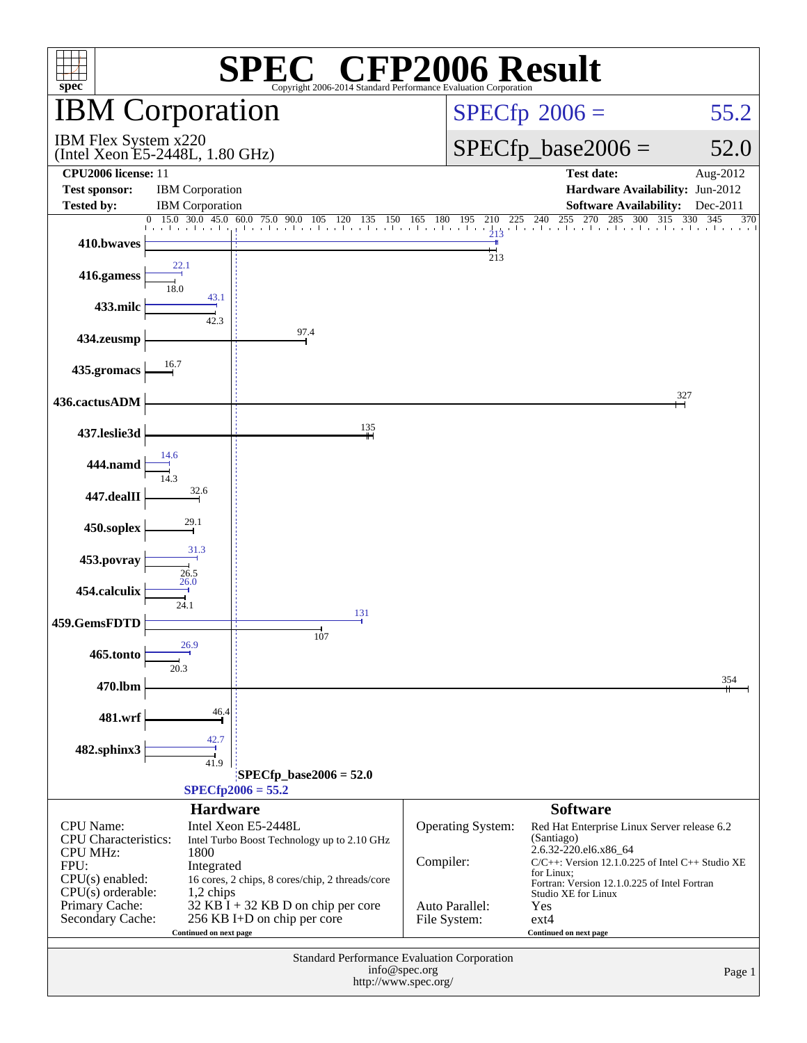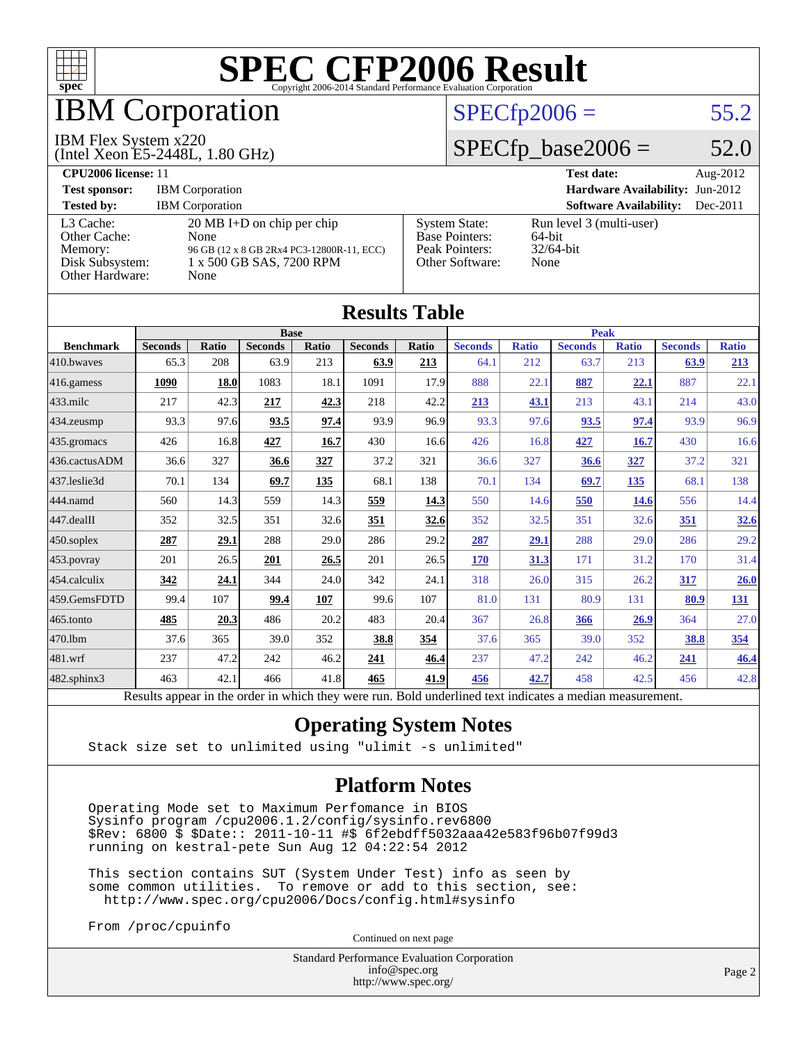

## IBM Corporation

#### IBM Flex System x220

(Intel Xeon E5-2448L, 1.80 GHz)

#### $SPECfp2006 = 55.2$  $SPECfp2006 = 55.2$

### $SPECfp\_base2006 = 52.0$

| CPU <sub>2006</sub> license: 11                                            |                                                                                                                               |                                                                                    | <b>Test date:</b><br>Aug- $2012$                           |
|----------------------------------------------------------------------------|-------------------------------------------------------------------------------------------------------------------------------|------------------------------------------------------------------------------------|------------------------------------------------------------|
| <b>Test sponsor:</b>                                                       | <b>IBM</b> Corporation                                                                                                        | <b>Hardware Availability: Jun-2012</b>                                             |                                                            |
| <b>Tested by:</b>                                                          | <b>IBM</b> Corporation                                                                                                        |                                                                                    | <b>Software Availability:</b><br>$Dec-2011$                |
| L3 Cache:<br>Other Cache:<br>Memory:<br>Disk Subsystem:<br>Other Hardware: | $20 \text{ MB I+D}$ on chip per chip<br>None<br>96 GB (12 x 8 GB 2Rx4 PC3-12800R-11, ECC)<br>1 x 500 GB SAS, 7200 RPM<br>None | <b>System State:</b><br><b>Base Pointers:</b><br>Peak Pointers:<br>Other Software: | Run level 3 (multi-user)<br>64-bit<br>$32/64$ -bit<br>None |

**[Results Table](http://www.spec.org/auto/cpu2006/Docs/result-fields.html#ResultsTable)**

| Results Table          |                                                                                                          |       |                |       |                |             |                |              |                |              |                |              |
|------------------------|----------------------------------------------------------------------------------------------------------|-------|----------------|-------|----------------|-------------|----------------|--------------|----------------|--------------|----------------|--------------|
|                        | <b>Base</b>                                                                                              |       |                |       |                | <b>Peak</b> |                |              |                |              |                |              |
| <b>Benchmark</b>       | <b>Seconds</b>                                                                                           | Ratio | <b>Seconds</b> | Ratio | <b>Seconds</b> | Ratio       | <b>Seconds</b> | <b>Ratio</b> | <b>Seconds</b> | <b>Ratio</b> | <b>Seconds</b> | <b>Ratio</b> |
| 410.bwayes             | 65.3                                                                                                     | 208   | 63.9           | 213   | 63.9           | 213         | 64.1           | 212          | 63.7           | 213          | 63.9           | 213          |
| 416.gamess             | 1090                                                                                                     | 18.0  | 1083           | 18.1  | 1091           | 17.9        | 888            | 22.1         | 887            | 22.1         | 887            | 22.1         |
| $433$ .milc            | 217                                                                                                      | 42.3  | 217            | 42.3  | 218            | 42.2        | 213            | 43.1         | 213            | 43.1         | 214            | 43.0         |
| $434$ . zeusmp         | 93.3                                                                                                     | 97.6  | 93.5           | 97.4  | 93.9           | 96.9        | 93.3           | 97.6         | 93.5           | 97.4         | 93.9           | 96.9         |
| 435.gromacs            | 426                                                                                                      | 16.8  | 427            | 16.7  | 430            | 16.6        | 426            | 16.8         | 427            | 16.7         | 430            | 16.6         |
| 436.cactusADM          | 36.6                                                                                                     | 327   | 36.6           | 327   | 37.2           | 321         | 36.6           | 327          | 36.6           | 327          | 37.2           | 321          |
| 437.leslie3d           | 70.1                                                                                                     | 134   | 69.7           | 135   | 68.1           | 138         | 70.1           | 134          | 69.7           | 135          | 68.1           | 138          |
| 444.namd               | 560                                                                                                      | 14.3  | 559            | 14.3  | 559            | 14.3        | 550            | 14.6         | 550            | 14.6         | 556            | 14.4         |
| $ 447 \text{.}$ dealII | 352                                                                                                      | 32.5  | 351            | 32.6  | 351            | 32.6        | 352            | 32.5         | 351            | 32.6         | 351            | 32.6         |
| $ 450$ .soplex         | 287                                                                                                      | 29.1  | 288            | 29.0  | 286            | 29.2        | 287            | 29.1         | 288            | 29.0         | 286            | 29.2         |
| 453.povray             | 201                                                                                                      | 26.5  | 201            | 26.5  | 201            | 26.5        | 170            | 31.3         | 171            | 31.2         | 170            | 31.4         |
| $ 454$ .calculix       | 342                                                                                                      | 24.1  | 344            | 24.0  | 342            | 24.1        | 318            | 26.0         | 315            | 26.2         | 317            | 26.0         |
| 459.GemsFDTD           | 99.4                                                                                                     | 107   | 99.4           | 107   | 99.6           | 107         | 81.0           | 131          | 80.9           | 131          | 80.9           | <u>131</u>   |
| $465$ .tonto           | 485                                                                                                      | 20.3  | 486            | 20.2  | 483            | 20.4        | 367            | 26.8         | 366            | 26.9         | 364            | 27.0         |
| 470.1bm                | 37.6                                                                                                     | 365   | 39.0           | 352   | 38.8           | 354         | 37.6           | 365          | 39.0           | 352          | 38.8           | 354          |
| $ 481$ .wrf            | 237                                                                                                      | 47.2  | 242            | 46.2  | 241            | 46.4        | 237            | 47.2         | 242            | 46.2         | 241            | 46.4         |
| 482.sphinx3            | 463                                                                                                      | 42.1  | 466            | 41.8  | 465            | 41.9        | 456            | 42.7         | 458            | 42.5         | 456            | 42.8         |
|                        | Results appear in the order in which they were run. Bold underlined text indicates a median measurement. |       |                |       |                |             |                |              |                |              |                |              |

#### **[Operating System Notes](http://www.spec.org/auto/cpu2006/Docs/result-fields.html#OperatingSystemNotes)**

Stack size set to unlimited using "ulimit -s unlimited"

#### **[Platform Notes](http://www.spec.org/auto/cpu2006/Docs/result-fields.html#PlatformNotes)**

 Operating Mode set to Maximum Perfomance in BIOS Sysinfo program /cpu2006.1.2/config/sysinfo.rev6800 \$Rev: 6800 \$ \$Date:: 2011-10-11 #\$ 6f2ebdff5032aaa42e583f96b07f99d3 running on kestral-pete Sun Aug 12 04:22:54 2012

 This section contains SUT (System Under Test) info as seen by some common utilities. To remove or add to this section, see: <http://www.spec.org/cpu2006/Docs/config.html#sysinfo>

From /proc/cpuinfo

Continued on next page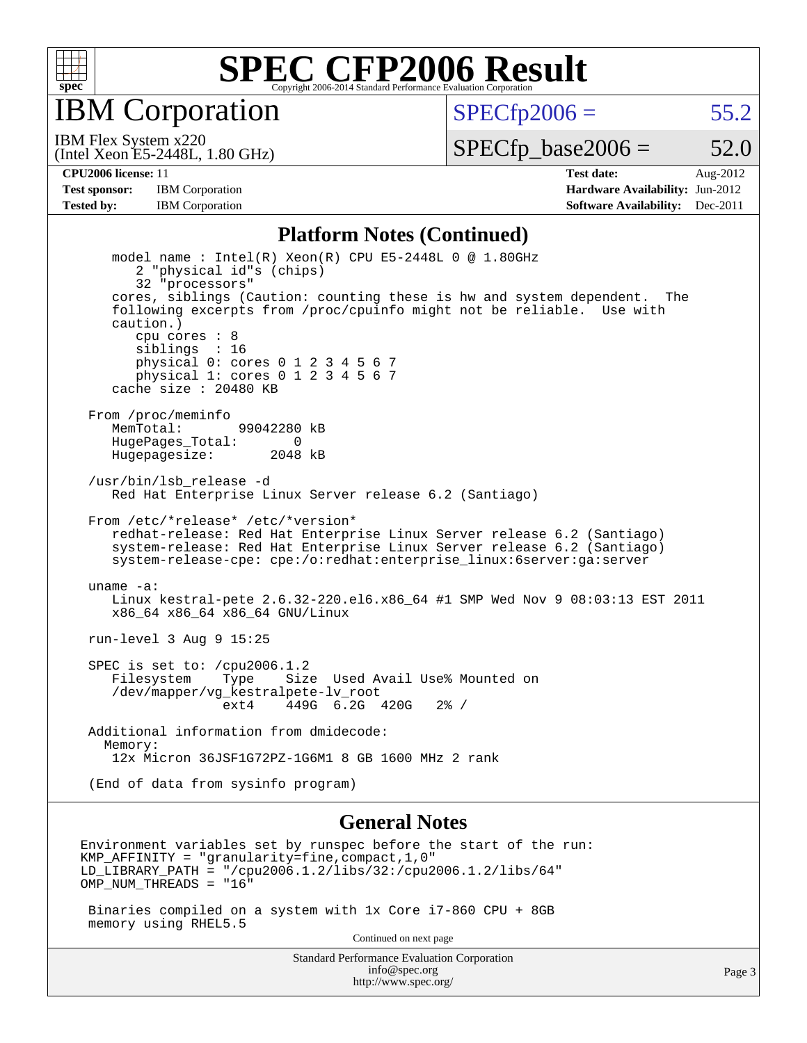

IBM Corporation

 $SPECTp2006 = 55.2$ 

(Intel Xeon E5-2448L, 1.80 GHz) IBM Flex System x220

 $SPECfp\_base2006 = 52.0$ 

**[CPU2006 license:](http://www.spec.org/auto/cpu2006/Docs/result-fields.html#CPU2006license)** 11 **[Test date:](http://www.spec.org/auto/cpu2006/Docs/result-fields.html#Testdate)** Aug-2012 **[Test sponsor:](http://www.spec.org/auto/cpu2006/Docs/result-fields.html#Testsponsor)** IBM Corporation **[Hardware Availability:](http://www.spec.org/auto/cpu2006/Docs/result-fields.html#HardwareAvailability)** Jun-2012 **[Tested by:](http://www.spec.org/auto/cpu2006/Docs/result-fields.html#Testedby)** IBM Corporation **[Software Availability:](http://www.spec.org/auto/cpu2006/Docs/result-fields.html#SoftwareAvailability)** Dec-2011

#### **[Platform Notes \(Continued\)](http://www.spec.org/auto/cpu2006/Docs/result-fields.html#PlatformNotes)**

 model name : Intel(R) Xeon(R) CPU E5-2448L 0 @ 1.80GHz 2 "physical id"s (chips) 32 "processors" cores, siblings (Caution: counting these is hw and system dependent. The following excerpts from /proc/cpuinfo might not be reliable. Use with caution.) cpu cores : 8 siblings : 16 physical 0: cores 0 1 2 3 4 5 6 7 physical 1: cores 0 1 2 3 4 5 6 7 cache size : 20480 KB From /proc/meminfo<br>MemTotal: 99042280 kB HugePages\_Total: 0<br>Hugepagesize: 2048 kB Hugepagesize: /usr/bin/lsb\_release -d Red Hat Enterprise Linux Server release 6.2 (Santiago) From /etc/\*release\* /etc/\*version\* redhat-release: Red Hat Enterprise Linux Server release 6.2 (Santiago) system-release: Red Hat Enterprise Linux Server release 6.2 (Santiago) system-release-cpe: cpe:/o:redhat:enterprise\_linux:6server:ga:server uname -a: Linux kestral-pete 2.6.32-220.el6.x86\_64 #1 SMP Wed Nov 9 08:03:13 EST 2011 x86\_64 x86\_64 x86\_64 GNU/Linux run-level 3 Aug 9 15:25 SPEC is set to: /cpu2006.1.2 Filesystem Type Size Used Avail Use% Mounted on /dev/mapper/vg\_kestralpete-lv\_root ext4 449G 6.2G 420G 2% / Additional information from dmidecode: Memory: 12x Micron 36JSF1G72PZ-1G6M1 8 GB 1600 MHz 2 rank (End of data from sysinfo program)

#### **[General Notes](http://www.spec.org/auto/cpu2006/Docs/result-fields.html#GeneralNotes)**

Environment variables set by runspec before the start of the run: KMP AFFINITY = "granularity=fine, compact,  $1,0$ " LD\_LIBRARY\_PATH = "/cpu2006.1.2/libs/32:/cpu2006.1.2/libs/64" OMP\_NUM\_THREADS = "16"

 Binaries compiled on a system with 1x Core i7-860 CPU + 8GB memory using RHEL5.5

Continued on next page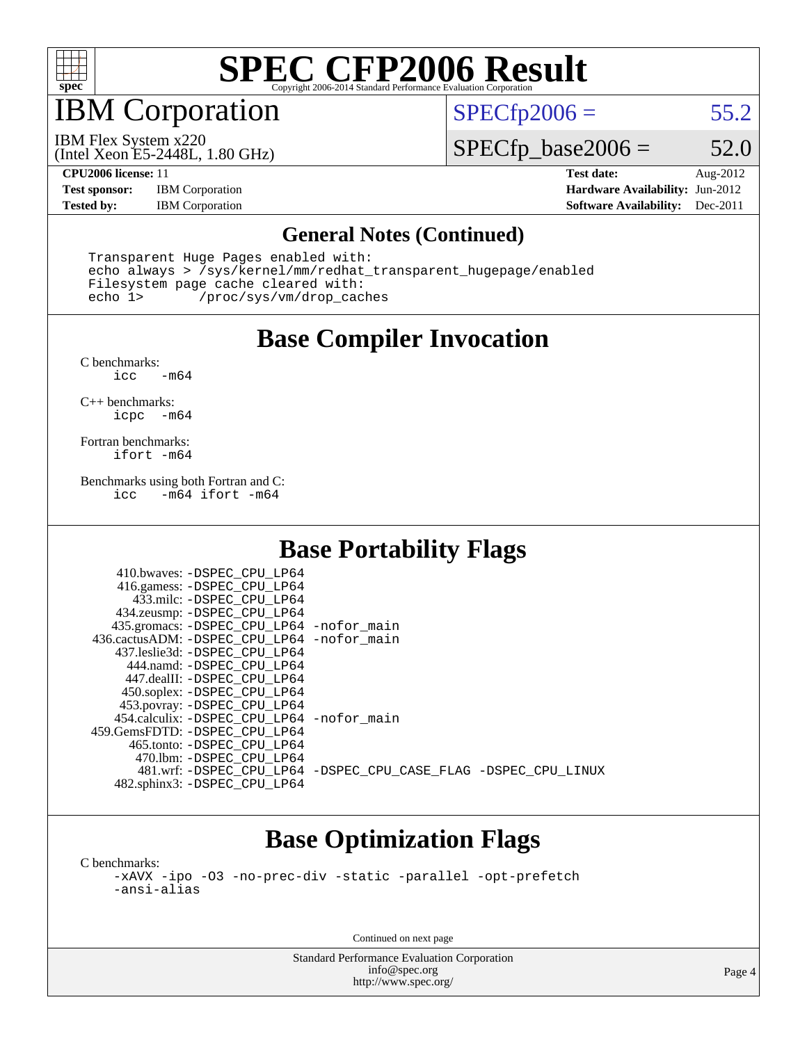

## IBM Corporation

 $SPECTp2006 = 55.2$ 

(Intel Xeon E5-2448L, 1.80 GHz) IBM Flex System x220

 $SPECfp\_base2006 = 52.0$ 

**[Test sponsor:](http://www.spec.org/auto/cpu2006/Docs/result-fields.html#Testsponsor)** IBM Corporation **[Hardware Availability:](http://www.spec.org/auto/cpu2006/Docs/result-fields.html#HardwareAvailability)** Jun-2012

**[CPU2006 license:](http://www.spec.org/auto/cpu2006/Docs/result-fields.html#CPU2006license)** 11 **[Test date:](http://www.spec.org/auto/cpu2006/Docs/result-fields.html#Testdate)** Aug-2012 **[Tested by:](http://www.spec.org/auto/cpu2006/Docs/result-fields.html#Testedby)** IBM Corporation **[Software Availability:](http://www.spec.org/auto/cpu2006/Docs/result-fields.html#SoftwareAvailability)** Dec-2011

#### **[General Notes \(Continued\)](http://www.spec.org/auto/cpu2006/Docs/result-fields.html#GeneralNotes)**

 Transparent Huge Pages enabled with: echo always > /sys/kernel/mm/redhat\_transparent\_hugepage/enabled Filesystem page cache cleared with: echo 1> /proc/sys/vm/drop\_caches

### **[Base Compiler Invocation](http://www.spec.org/auto/cpu2006/Docs/result-fields.html#BaseCompilerInvocation)**

 $C$  benchmarks:<br>icc  $-m64$ 

[C++ benchmarks:](http://www.spec.org/auto/cpu2006/Docs/result-fields.html#CXXbenchmarks) [icpc -m64](http://www.spec.org/cpu2006/results/res2012q3/cpu2006-20120813-24207.flags.html#user_CXXbase_intel_icpc_64bit_bedb90c1146cab66620883ef4f41a67e)

[Fortran benchmarks](http://www.spec.org/auto/cpu2006/Docs/result-fields.html#Fortranbenchmarks): [ifort -m64](http://www.spec.org/cpu2006/results/res2012q3/cpu2006-20120813-24207.flags.html#user_FCbase_intel_ifort_64bit_ee9d0fb25645d0210d97eb0527dcc06e)

[Benchmarks using both Fortran and C](http://www.spec.org/auto/cpu2006/Docs/result-fields.html#BenchmarksusingbothFortranandC):<br>icc -m64 ifort -m64  $-m64$  ifort  $-m64$ 

### **[Base Portability Flags](http://www.spec.org/auto/cpu2006/Docs/result-fields.html#BasePortabilityFlags)**

| 410.bwaves: -DSPEC CPU LP64                  |                                                                |
|----------------------------------------------|----------------------------------------------------------------|
| 416.gamess: - DSPEC_CPU_LP64                 |                                                                |
| 433.milc: -DSPEC CPU LP64                    |                                                                |
| 434.zeusmp: -DSPEC_CPU_LP64                  |                                                                |
| 435.gromacs: -DSPEC_CPU_LP64 -nofor_main     |                                                                |
| 436.cactusADM: - DSPEC CPU LP64 - nofor main |                                                                |
| 437.leslie3d: -DSPEC CPU LP64                |                                                                |
| 444.namd: -DSPEC CPU LP64                    |                                                                |
| 447.dealII: -DSPEC CPU LP64                  |                                                                |
| 450.soplex: -DSPEC_CPU_LP64                  |                                                                |
| 453.povray: -DSPEC_CPU_LP64                  |                                                                |
| 454.calculix: -DSPEC CPU LP64 -nofor main    |                                                                |
| 459.GemsFDTD: - DSPEC_CPU LP64               |                                                                |
| 465.tonto: - DSPEC CPU LP64                  |                                                                |
| 470.1bm: - DSPEC CPU LP64                    |                                                                |
|                                              | 481.wrf: -DSPEC CPU_LP64 -DSPEC_CPU_CASE_FLAG -DSPEC_CPU_LINUX |
| 482.sphinx3: -DSPEC_CPU_LP64                 |                                                                |

### **[Base Optimization Flags](http://www.spec.org/auto/cpu2006/Docs/result-fields.html#BaseOptimizationFlags)**

[C benchmarks](http://www.spec.org/auto/cpu2006/Docs/result-fields.html#Cbenchmarks): [-xAVX](http://www.spec.org/cpu2006/results/res2012q3/cpu2006-20120813-24207.flags.html#user_CCbase_f-xAVX) [-ipo](http://www.spec.org/cpu2006/results/res2012q3/cpu2006-20120813-24207.flags.html#user_CCbase_f-ipo) [-O3](http://www.spec.org/cpu2006/results/res2012q3/cpu2006-20120813-24207.flags.html#user_CCbase_f-O3) [-no-prec-div](http://www.spec.org/cpu2006/results/res2012q3/cpu2006-20120813-24207.flags.html#user_CCbase_f-no-prec-div) [-static](http://www.spec.org/cpu2006/results/res2012q3/cpu2006-20120813-24207.flags.html#user_CCbase_f-static) [-parallel](http://www.spec.org/cpu2006/results/res2012q3/cpu2006-20120813-24207.flags.html#user_CCbase_f-parallel) [-opt-prefetch](http://www.spec.org/cpu2006/results/res2012q3/cpu2006-20120813-24207.flags.html#user_CCbase_f-opt-prefetch) [-ansi-alias](http://www.spec.org/cpu2006/results/res2012q3/cpu2006-20120813-24207.flags.html#user_CCbase_f-ansi-alias)

Continued on next page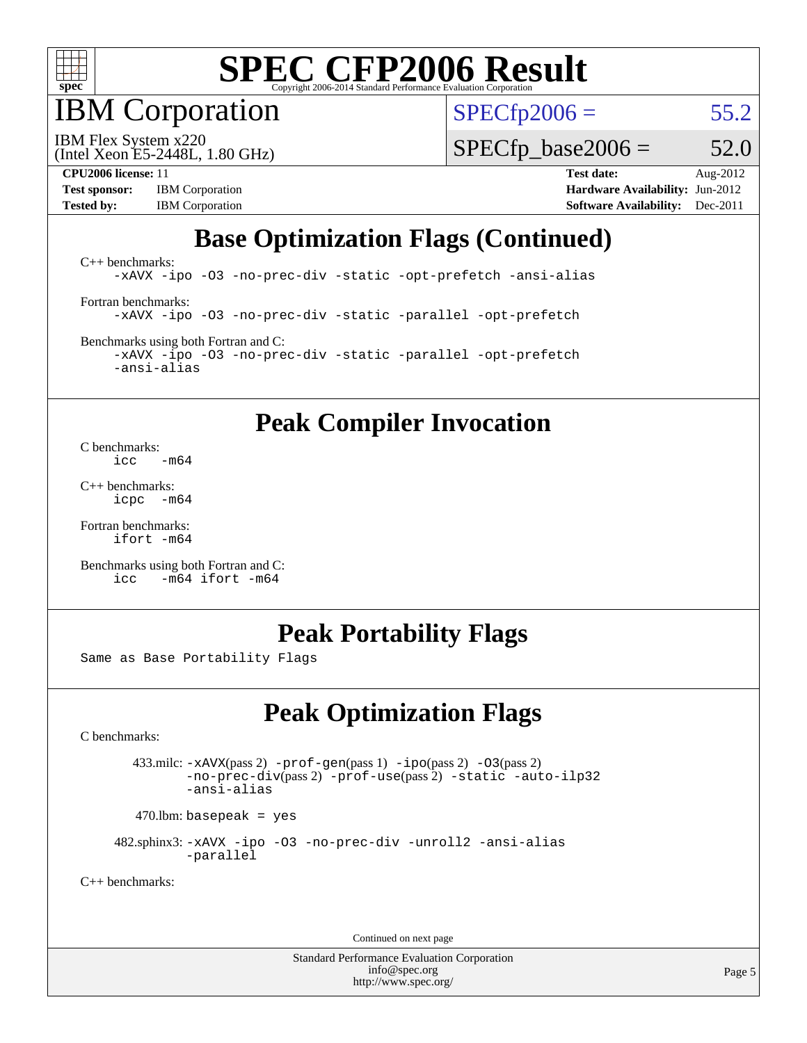

IBM Corporation

 $SPECfp2006 = 55.2$  $SPECfp2006 = 55.2$ 

(Intel Xeon E5-2448L, 1.80 GHz) IBM Flex System x220

 $SPECfp\_base2006 = 52.0$ 

**[Test sponsor:](http://www.spec.org/auto/cpu2006/Docs/result-fields.html#Testsponsor)** IBM Corporation **[Hardware Availability:](http://www.spec.org/auto/cpu2006/Docs/result-fields.html#HardwareAvailability)** Jun-2012 **[Tested by:](http://www.spec.org/auto/cpu2006/Docs/result-fields.html#Testedby)** IBM Corporation **[Software Availability:](http://www.spec.org/auto/cpu2006/Docs/result-fields.html#SoftwareAvailability)** Dec-2011

**[CPU2006 license:](http://www.spec.org/auto/cpu2006/Docs/result-fields.html#CPU2006license)** 11 **[Test date:](http://www.spec.org/auto/cpu2006/Docs/result-fields.html#Testdate)** Aug-2012

## **[Base Optimization Flags \(Continued\)](http://www.spec.org/auto/cpu2006/Docs/result-fields.html#BaseOptimizationFlags)**

[C++ benchmarks:](http://www.spec.org/auto/cpu2006/Docs/result-fields.html#CXXbenchmarks) [-xAVX](http://www.spec.org/cpu2006/results/res2012q3/cpu2006-20120813-24207.flags.html#user_CXXbase_f-xAVX) [-ipo](http://www.spec.org/cpu2006/results/res2012q3/cpu2006-20120813-24207.flags.html#user_CXXbase_f-ipo) [-O3](http://www.spec.org/cpu2006/results/res2012q3/cpu2006-20120813-24207.flags.html#user_CXXbase_f-O3) [-no-prec-div](http://www.spec.org/cpu2006/results/res2012q3/cpu2006-20120813-24207.flags.html#user_CXXbase_f-no-prec-div) [-static](http://www.spec.org/cpu2006/results/res2012q3/cpu2006-20120813-24207.flags.html#user_CXXbase_f-static) [-opt-prefetch](http://www.spec.org/cpu2006/results/res2012q3/cpu2006-20120813-24207.flags.html#user_CXXbase_f-opt-prefetch) [-ansi-alias](http://www.spec.org/cpu2006/results/res2012q3/cpu2006-20120813-24207.flags.html#user_CXXbase_f-ansi-alias) [Fortran benchmarks](http://www.spec.org/auto/cpu2006/Docs/result-fields.html#Fortranbenchmarks): [-xAVX](http://www.spec.org/cpu2006/results/res2012q3/cpu2006-20120813-24207.flags.html#user_FCbase_f-xAVX) [-ipo](http://www.spec.org/cpu2006/results/res2012q3/cpu2006-20120813-24207.flags.html#user_FCbase_f-ipo) [-O3](http://www.spec.org/cpu2006/results/res2012q3/cpu2006-20120813-24207.flags.html#user_FCbase_f-O3) [-no-prec-div](http://www.spec.org/cpu2006/results/res2012q3/cpu2006-20120813-24207.flags.html#user_FCbase_f-no-prec-div) [-static](http://www.spec.org/cpu2006/results/res2012q3/cpu2006-20120813-24207.flags.html#user_FCbase_f-static) [-parallel](http://www.spec.org/cpu2006/results/res2012q3/cpu2006-20120813-24207.flags.html#user_FCbase_f-parallel) [-opt-prefetch](http://www.spec.org/cpu2006/results/res2012q3/cpu2006-20120813-24207.flags.html#user_FCbase_f-opt-prefetch) [Benchmarks using both Fortran and C](http://www.spec.org/auto/cpu2006/Docs/result-fields.html#BenchmarksusingbothFortranandC):

[-xAVX](http://www.spec.org/cpu2006/results/res2012q3/cpu2006-20120813-24207.flags.html#user_CC_FCbase_f-xAVX) [-ipo](http://www.spec.org/cpu2006/results/res2012q3/cpu2006-20120813-24207.flags.html#user_CC_FCbase_f-ipo) [-O3](http://www.spec.org/cpu2006/results/res2012q3/cpu2006-20120813-24207.flags.html#user_CC_FCbase_f-O3) [-no-prec-div](http://www.spec.org/cpu2006/results/res2012q3/cpu2006-20120813-24207.flags.html#user_CC_FCbase_f-no-prec-div) [-static](http://www.spec.org/cpu2006/results/res2012q3/cpu2006-20120813-24207.flags.html#user_CC_FCbase_f-static) [-parallel](http://www.spec.org/cpu2006/results/res2012q3/cpu2006-20120813-24207.flags.html#user_CC_FCbase_f-parallel) [-opt-prefetch](http://www.spec.org/cpu2006/results/res2012q3/cpu2006-20120813-24207.flags.html#user_CC_FCbase_f-opt-prefetch) [-ansi-alias](http://www.spec.org/cpu2006/results/res2012q3/cpu2006-20120813-24207.flags.html#user_CC_FCbase_f-ansi-alias)

#### **[Peak Compiler Invocation](http://www.spec.org/auto/cpu2006/Docs/result-fields.html#PeakCompilerInvocation)**

[C benchmarks](http://www.spec.org/auto/cpu2006/Docs/result-fields.html#Cbenchmarks):  $\frac{1}{2}$ cc  $-\text{m64}$ 

[C++ benchmarks:](http://www.spec.org/auto/cpu2006/Docs/result-fields.html#CXXbenchmarks) [icpc -m64](http://www.spec.org/cpu2006/results/res2012q3/cpu2006-20120813-24207.flags.html#user_CXXpeak_intel_icpc_64bit_bedb90c1146cab66620883ef4f41a67e)

[Fortran benchmarks](http://www.spec.org/auto/cpu2006/Docs/result-fields.html#Fortranbenchmarks): [ifort -m64](http://www.spec.org/cpu2006/results/res2012q3/cpu2006-20120813-24207.flags.html#user_FCpeak_intel_ifort_64bit_ee9d0fb25645d0210d97eb0527dcc06e)

[Benchmarks using both Fortran and C](http://www.spec.org/auto/cpu2006/Docs/result-fields.html#BenchmarksusingbothFortranandC): [icc -m64](http://www.spec.org/cpu2006/results/res2012q3/cpu2006-20120813-24207.flags.html#user_CC_FCpeak_intel_icc_64bit_0b7121f5ab7cfabee23d88897260401c) [ifort -m64](http://www.spec.org/cpu2006/results/res2012q3/cpu2006-20120813-24207.flags.html#user_CC_FCpeak_intel_ifort_64bit_ee9d0fb25645d0210d97eb0527dcc06e)

#### **[Peak Portability Flags](http://www.spec.org/auto/cpu2006/Docs/result-fields.html#PeakPortabilityFlags)**

Same as Base Portability Flags

### **[Peak Optimization Flags](http://www.spec.org/auto/cpu2006/Docs/result-fields.html#PeakOptimizationFlags)**

[C benchmarks](http://www.spec.org/auto/cpu2006/Docs/result-fields.html#Cbenchmarks):

 433.milc: [-xAVX](http://www.spec.org/cpu2006/results/res2012q3/cpu2006-20120813-24207.flags.html#user_peakPASS2_CFLAGSPASS2_LDFLAGS433_milc_f-xAVX)(pass 2) [-prof-gen](http://www.spec.org/cpu2006/results/res2012q3/cpu2006-20120813-24207.flags.html#user_peakPASS1_CFLAGSPASS1_LDFLAGS433_milc_prof_gen_e43856698f6ca7b7e442dfd80e94a8fc)(pass 1) [-ipo](http://www.spec.org/cpu2006/results/res2012q3/cpu2006-20120813-24207.flags.html#user_peakPASS2_CFLAGSPASS2_LDFLAGS433_milc_f-ipo)(pass 2) [-O3](http://www.spec.org/cpu2006/results/res2012q3/cpu2006-20120813-24207.flags.html#user_peakPASS2_CFLAGSPASS2_LDFLAGS433_milc_f-O3)(pass 2) [-no-prec-div](http://www.spec.org/cpu2006/results/res2012q3/cpu2006-20120813-24207.flags.html#user_peakPASS2_CFLAGSPASS2_LDFLAGS433_milc_f-no-prec-div)(pass 2) [-prof-use](http://www.spec.org/cpu2006/results/res2012q3/cpu2006-20120813-24207.flags.html#user_peakPASS2_CFLAGSPASS2_LDFLAGS433_milc_prof_use_bccf7792157ff70d64e32fe3e1250b55)(pass 2) [-static](http://www.spec.org/cpu2006/results/res2012q3/cpu2006-20120813-24207.flags.html#user_peakOPTIMIZE433_milc_f-static) [-auto-ilp32](http://www.spec.org/cpu2006/results/res2012q3/cpu2006-20120813-24207.flags.html#user_peakCOPTIMIZE433_milc_f-auto-ilp32) [-ansi-alias](http://www.spec.org/cpu2006/results/res2012q3/cpu2006-20120813-24207.flags.html#user_peakCOPTIMIZE433_milc_f-ansi-alias)

 $470.$ lbm: basepeak = yes

 482.sphinx3: [-xAVX](http://www.spec.org/cpu2006/results/res2012q3/cpu2006-20120813-24207.flags.html#user_peakOPTIMIZE482_sphinx3_f-xAVX) [-ipo](http://www.spec.org/cpu2006/results/res2012q3/cpu2006-20120813-24207.flags.html#user_peakOPTIMIZE482_sphinx3_f-ipo) [-O3](http://www.spec.org/cpu2006/results/res2012q3/cpu2006-20120813-24207.flags.html#user_peakOPTIMIZE482_sphinx3_f-O3) [-no-prec-div](http://www.spec.org/cpu2006/results/res2012q3/cpu2006-20120813-24207.flags.html#user_peakOPTIMIZE482_sphinx3_f-no-prec-div) [-unroll2](http://www.spec.org/cpu2006/results/res2012q3/cpu2006-20120813-24207.flags.html#user_peakCOPTIMIZE482_sphinx3_f-unroll_784dae83bebfb236979b41d2422d7ec2) [-ansi-alias](http://www.spec.org/cpu2006/results/res2012q3/cpu2006-20120813-24207.flags.html#user_peakCOPTIMIZE482_sphinx3_f-ansi-alias) [-parallel](http://www.spec.org/cpu2006/results/res2012q3/cpu2006-20120813-24207.flags.html#user_peakCOPTIMIZE482_sphinx3_f-parallel)

[C++ benchmarks:](http://www.spec.org/auto/cpu2006/Docs/result-fields.html#CXXbenchmarks)

Continued on next page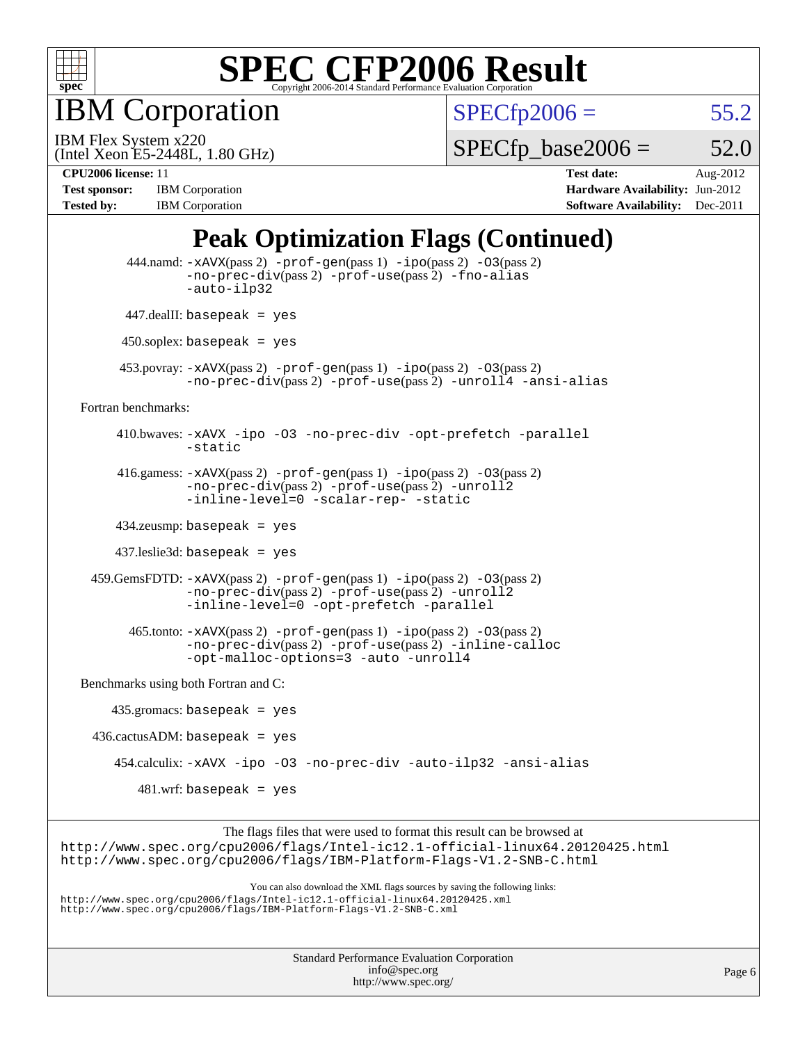

IBM Corporation

 $SPECfp2006 = 55.2$  $SPECfp2006 = 55.2$ 

(Intel Xeon E5-2448L, 1.80 GHz) IBM Flex System x220

 $SPECTp\_base2006 = 52.0$ 

**[Tested by:](http://www.spec.org/auto/cpu2006/Docs/result-fields.html#Testedby)** IBM Corporation **[Software Availability:](http://www.spec.org/auto/cpu2006/Docs/result-fields.html#SoftwareAvailability)** Dec-2011

**[CPU2006 license:](http://www.spec.org/auto/cpu2006/Docs/result-fields.html#CPU2006license)** 11 **[Test date:](http://www.spec.org/auto/cpu2006/Docs/result-fields.html#Testdate)** Aug-2012 **[Test sponsor:](http://www.spec.org/auto/cpu2006/Docs/result-fields.html#Testsponsor)** IBM Corporation **[Hardware Availability:](http://www.spec.org/auto/cpu2006/Docs/result-fields.html#HardwareAvailability)** Jun-2012

## **[Peak Optimization Flags \(Continued\)](http://www.spec.org/auto/cpu2006/Docs/result-fields.html#PeakOptimizationFlags)**

|                                      | $444$ .namd: $-xAUX(pass 2)$ -prof-gen(pass 1) -ipo(pass 2) -03(pass 2)<br>-no-prec-div(pass 2) -prof-use(pass 2) -fno-alias<br>-auto-ilp32                                                                                       |
|--------------------------------------|-----------------------------------------------------------------------------------------------------------------------------------------------------------------------------------------------------------------------------------|
|                                      | $447$ .dealII: basepeak = yes                                                                                                                                                                                                     |
|                                      | $450$ .soplex: basepeak = yes                                                                                                                                                                                                     |
|                                      | 453. povray: $-xAVX(pass 2)$ -prof-gen(pass 1) -ipo(pass 2) -03(pass 2)<br>-no-prec-div(pass 2) -prof-use(pass 2) -unroll4 -ansi-alias                                                                                            |
| Fortran benchmarks:                  |                                                                                                                                                                                                                                   |
|                                      | 410.bwaves: -xAVX -ipo -03 -no-prec-div -opt-prefetch -parallel<br>$-static$                                                                                                                                                      |
|                                      | 416.gamess: -xAVX(pass 2) -prof-gen(pass 1) -ipo(pass 2) -03(pass 2)<br>-no-prec-div(pass 2) -prof-use(pass 2) -unroll2<br>-inline-level=0 -scalar-rep- -static                                                                   |
|                                      | $434$ .zeusmp: basepeak = yes                                                                                                                                                                                                     |
|                                      | $437$ .leslie3d: basepeak = yes                                                                                                                                                                                                   |
|                                      | $459.GemsFDTD: -xAVX(pass 2) -proj-gen(pass 1) -ipo(pass 2) -03(pass 2)$<br>-no-prec-div(pass 2) -prof-use(pass 2) -unroll2<br>-inline-level=0 -opt-prefetch -parallel                                                            |
|                                      | $465$ .tonto: $-x$ AVX(pass 2) $-prof-gen(pass 1) -ipo(pass 2) -03(pass 2)$<br>-no-prec-div(pass 2) -prof-use(pass 2) -inline-calloc<br>-opt-malloc-options=3 -auto -unroll4                                                      |
| Benchmarks using both Fortran and C: |                                                                                                                                                                                                                                   |
|                                      | $435.gromacs: basepeak = yes$                                                                                                                                                                                                     |
|                                      | $436.cactusADM:basepeak = yes$                                                                                                                                                                                                    |
|                                      | 454.calculix: -xAVX -ipo -03 -no-prec-div -auto-ilp32 -ansi-alias                                                                                                                                                                 |
|                                      | $481.wrf$ : basepeak = yes                                                                                                                                                                                                        |
|                                      | The flags files that were used to format this result can be browsed at<br>http://www.spec.org/cpu2006/flags/Intel-ic12.1-official-linux64.20120425.html<br>http://www.spec.org/cpu2006/flags/IBM-Platform-Flags-V1.2-SNB-C.html   |
|                                      | You can also download the XML flags sources by saving the following links:<br>http://www.spec.org/cpu2006/flags/Intel-icl2.1-official-linux64.20120425.xml<br>http://www.spec.org/cpu2006/flags/IBM-Platform-Flags-V1.2-SNB-C.xml |
|                                      |                                                                                                                                                                                                                                   |

| <b>Standard Performance Evaluation Corporation</b> |
|----------------------------------------------------|
| info@spec.org                                      |
| http://www.spec.org/                               |